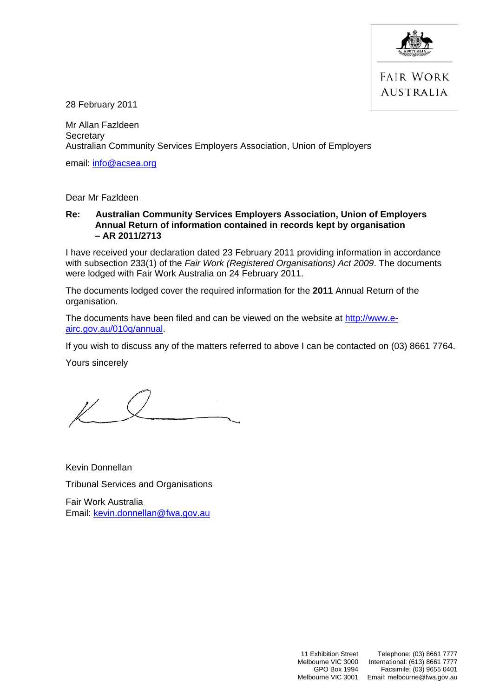

**FAIR WORK AUSTRALIA** 

28 February 2011

Mr Allan Fazldeen **Secretary** Australian Community Services Employers Association, Union of Employers

email: [info@acsea.org](mailto:info@acsea.org)

Dear Mr Fazldeen

#### **Re: Australian Community Services Employers Association, Union of Employers Annual Return of information contained in records kept by organisation – AR 2011/2713**

I have received your declaration dated 23 February 2011 providing information in accordance with subsection 233(1) of the *Fair Work (Registered Organisations) Act 2009*. The documents were lodged with Fair Work Australia on 24 February 2011.

The documents lodged cover the required information for the **2011** Annual Return of the organisation.

The documents have been filed and can be viewed on the website at [http://www.e](http://www.e-airc.gov.au/010q/annual)[airc.gov.au/010q/annual.](http://www.e-airc.gov.au/010q/annual)

If you wish to discuss any of the matters referred to above I can be contacted on (03) 8661 7764.

Yours sincerely

Kevin Donnellan Tribunal Services and Organisations

Fair Work Australia Email: [kevin.donnellan@fwa.gov.au](mailto:kevin.donnellan@fwa.gov.au)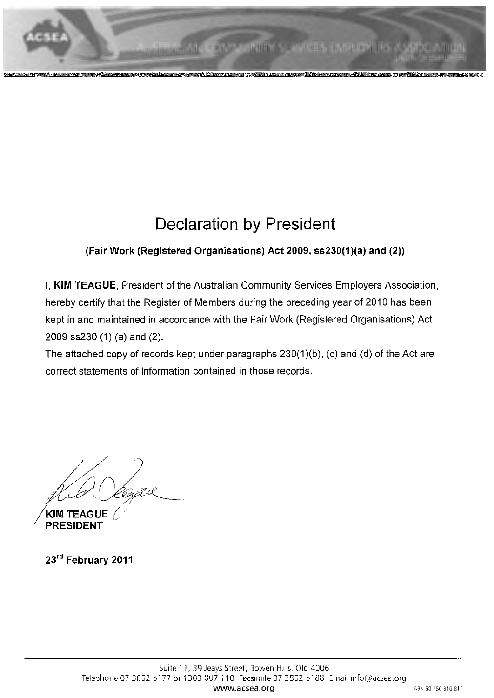# **Declaration by President**

## **(Fair Work (Registered Organisations) Act 2009, ss230(1 )(a) and (2))**

I, **KIM TEAGUE,** President of the Australian Community Services Employers Association, hereby certify that the Register of Members during the preceding year of 2010 has been kept in and maintained in accordance with the Fair Work (Registered Organisations) Act 2009 ss230 (1) (a) and (2).

The attached copy of records kept under paragraphs 230(1)(b), (c) and (d) of the Act are correct statements of information contained in those records.

' Cesare

**/KIM TEAGUE** ( **PRESIDENT** 

**23'd February 2011**